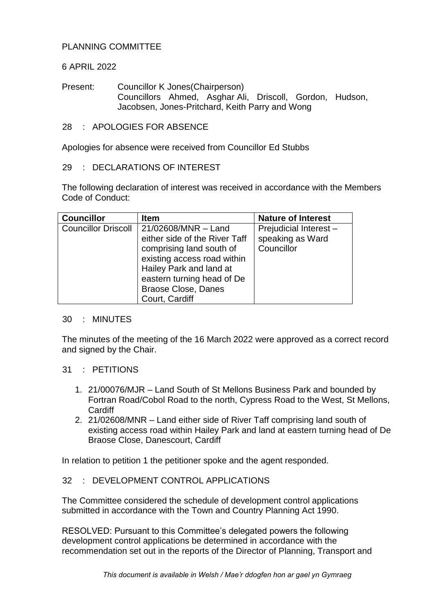# PLANNING COMMITTEE

# 6 APRIL 2022

Present: Councillor K Jones(Chairperson) Councillors Ahmed, Asghar Ali, Driscoll, Gordon, Hudson, Jacobsen, Jones-Pritchard, Keith Parry and Wong

### 28 : APOLOGIES FOR ABSENCE

Apologies for absence were received from Councillor Ed Stubbs

#### 29 : DECLARATIONS OF INTEREST

The following declaration of interest was received in accordance with the Members Code of Conduct:

| <b>Councillor</b>          | <b>Item</b>                                                                                                                                                                                                              | <b>Nature of Interest</b>                                |
|----------------------------|--------------------------------------------------------------------------------------------------------------------------------------------------------------------------------------------------------------------------|----------------------------------------------------------|
| <b>Councillor Driscoll</b> | 21/02608/MNR - Land<br>either side of the River Taff<br>comprising land south of<br>existing access road within<br>Hailey Park and land at<br>eastern turning head of De<br><b>Braose Close, Danes</b><br>Court, Cardiff | Prejudicial Interest -<br>speaking as Ward<br>Councillor |

#### 30 : MINUTES

The minutes of the meeting of the 16 March 2022 were approved as a correct record and signed by the Chair.

# 31 : PETITIONS

- 1. 21/00076/MJR Land South of St Mellons Business Park and bounded by Fortran Road/Cobol Road to the north, Cypress Road to the West, St Mellons, **Cardiff**
- 2. 21/02608/MNR Land either side of River Taff comprising land south of existing access road within Hailey Park and land at eastern turning head of De Braose Close, Danescourt, Cardiff

In relation to petition 1 the petitioner spoke and the agent responded.

# 32 : DEVELOPMENT CONTROL APPLICATIONS

The Committee considered the schedule of development control applications submitted in accordance with the Town and Country Planning Act 1990.

RESOLVED: Pursuant to this Committee's delegated powers the following development control applications be determined in accordance with the recommendation set out in the reports of the Director of Planning, Transport and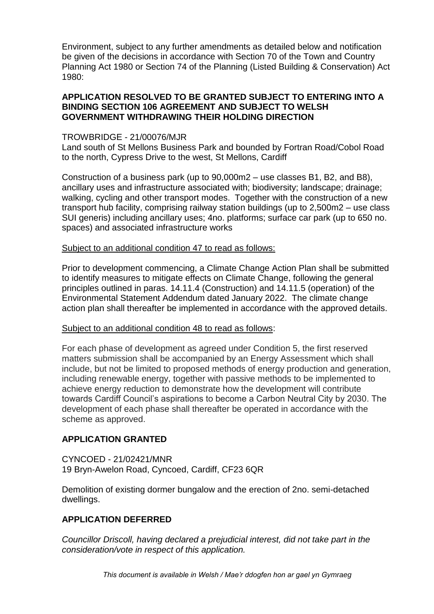Environment, subject to any further amendments as detailed below and notification be given of the decisions in accordance with Section 70 of the Town and Country Planning Act 1980 or Section 74 of the Planning (Listed Building & Conservation) Act 1980:

### **APPLICATION RESOLVED TO BE GRANTED SUBJECT TO ENTERING INTO A BINDING SECTION 106 AGREEMENT AND SUBJECT TO WELSH GOVERNMENT WITHDRAWING THEIR HOLDING DIRECTION**

# TROWBRIDGE - 21/00076/MJR

Land south of St Mellons Business Park and bounded by Fortran Road/Cobol Road to the north, Cypress Drive to the west, St Mellons, Cardiff

Construction of a business park (up to 90,000m2 – use classes B1, B2, and B8), ancillary uses and infrastructure associated with; biodiversity; landscape; drainage; walking, cycling and other transport modes. Together with the construction of a new transport hub facility, comprising railway station buildings (up to 2,500m2 – use class SUI generis) including ancillary uses; 4no. platforms; surface car park (up to 650 no. spaces) and associated infrastructure works

#### Subject to an additional condition 47 to read as follows:

Prior to development commencing, a Climate Change Action Plan shall be submitted to identify measures to mitigate effects on Climate Change, following the general principles outlined in paras. 14.11.4 (Construction) and 14.11.5 (operation) of the Environmental Statement Addendum dated January 2022. The climate change action plan shall thereafter be implemented in accordance with the approved details.

# Subject to an additional condition 48 to read as follows:

For each phase of development as agreed under Condition 5, the first reserved matters submission shall be accompanied by an Energy Assessment which shall include, but not be limited to proposed methods of energy production and generation, including renewable energy, together with passive methods to be implemented to achieve energy reduction to demonstrate how the development will contribute towards Cardiff Council's aspirations to become a Carbon Neutral City by 2030. The development of each phase shall thereafter be operated in accordance with the scheme as approved.

# **APPLICATION GRANTED**

CYNCOED - 21/02421/MNR 19 Bryn-Awelon Road, Cyncoed, Cardiff, CF23 6QR

Demolition of existing dormer bungalow and the erection of 2no. semi-detached dwellings.

# **APPLICATION DEFERRED**

*Councillor Driscoll, having declared a prejudicial interest, did not take part in the consideration/vote in respect of this application.*